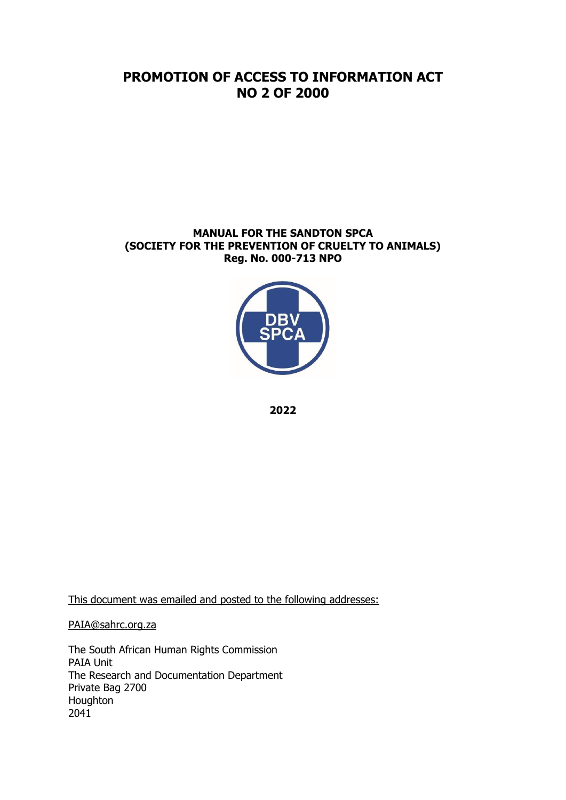# **PROMOTION OF ACCESS TO INFORMATION ACT NO 2 OF 2000**

#### **MANUAL FOR THE SANDTON SPCA (SOCIETY FOR THE PREVENTION OF CRUELTY TO ANIMALS) Reg. No. 000-713 NPO**



**2022**

This document was emailed and posted to the following addresses:

[PAIA@sahrc.org.za](mailto:PAIA@sahrc.org.za)

The South African Human Rights Commission PAIA Unit The Research and Documentation Department Private Bag 2700 Houghton 2041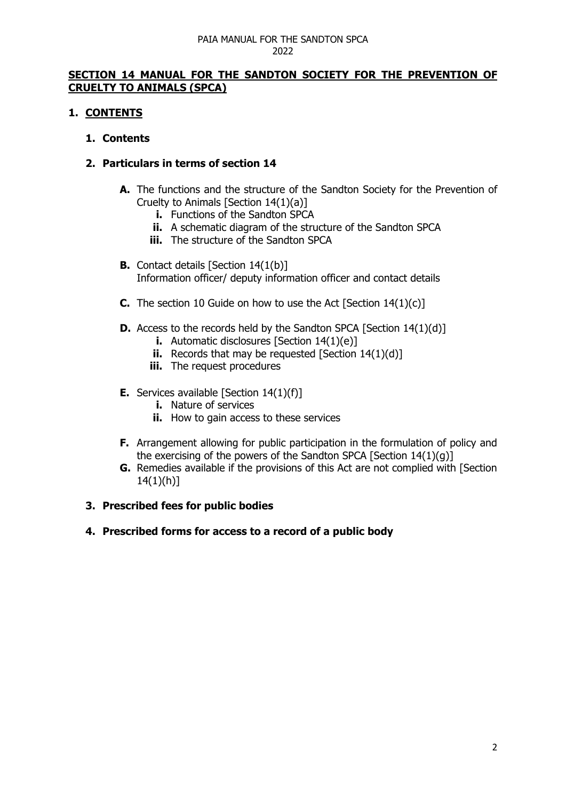### **SECTION 14 MANUAL FOR THE SANDTON SOCIETY FOR THE PREVENTION OF CRUELTY TO ANIMALS (SPCA)**

### **1. CONTENTS**

#### **1. Contents**

### **2. Particulars in terms of section 14**

- **A.** The functions and the structure of the Sandton Society for the Prevention of Cruelty to Animals [Section 14(1)(a)]
	- **i.** Functions of the Sandton SPCA
	- **ii.** A schematic diagram of the structure of the Sandton SPCA
	- **iii.** The structure of the Sandton SPCA
- **B.** Contact details [Section 14(1(b)] Information officer/ deputy information officer and contact details
- **C.** The section 10 Guide on how to use the Act [Section 14(1)(c)]
- **D.** Access to the records held by the Sandton SPCA [Section 14(1)(d)]
	- **i.** Automatic disclosures [Section 14(1)(e)]
	- **ii.** Records that may be requested [Section 14(1)(d)]
	- **iii.** The request procedures
- **E.** Services available [Section 14(1)(f)]
	- **i.** Nature of services
	- **ii.** How to gain access to these services
- **F.** Arrangement allowing for public participation in the formulation of policy and the exercising of the powers of the Sandton SPCA [Section 14(1)(g)]
- **G.** Remedies available if the provisions of this Act are not complied with [Section  $14(1)(h)$ ]

#### **3. Prescribed fees for public bodies**

#### **4. Prescribed forms for access to a record of a public body**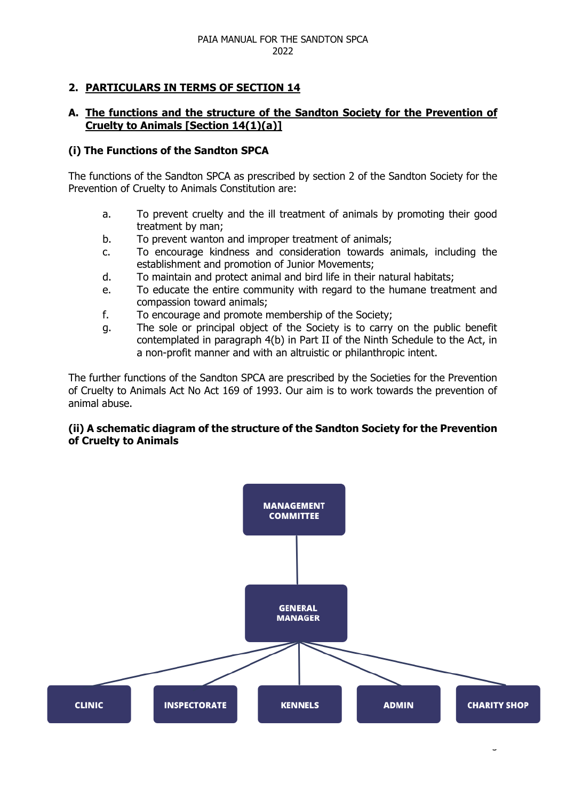## **2. PARTICULARS IN TERMS OF SECTION 14**

### **A. The functions and the structure of the Sandton Society for the Prevention of Cruelty to Animals [Section 14(1)(a)]**

#### **(i) The Functions of the Sandton SPCA**

The functions of the Sandton SPCA as prescribed by section 2 of the Sandton Society for the Prevention of Cruelty to Animals Constitution are:

- a. To prevent cruelty and the ill treatment of animals by promoting their good treatment by man;
- b. To prevent wanton and improper treatment of animals;
- c. To encourage kindness and consideration towards animals, including the establishment and promotion of Junior Movements;
- d. To maintain and protect animal and bird life in their natural habitats;
- e. To educate the entire community with regard to the humane treatment and compassion toward animals;
- f. To encourage and promote membership of the Society;
- g. The sole or principal object of the Society is to carry on the public benefit contemplated in paragraph 4(b) in Part II of the Ninth Schedule to the Act, in a non-profit manner and with an altruistic or philanthropic intent.

The further functions of the Sandton SPCA are prescribed by the Societies for the Prevention of Cruelty to Animals Act No Act 169 of 1993. Our aim is to work towards the prevention of animal abuse.

#### **(ii) A schematic diagram of the structure of the Sandton Society for the Prevention of Cruelty to Animals**

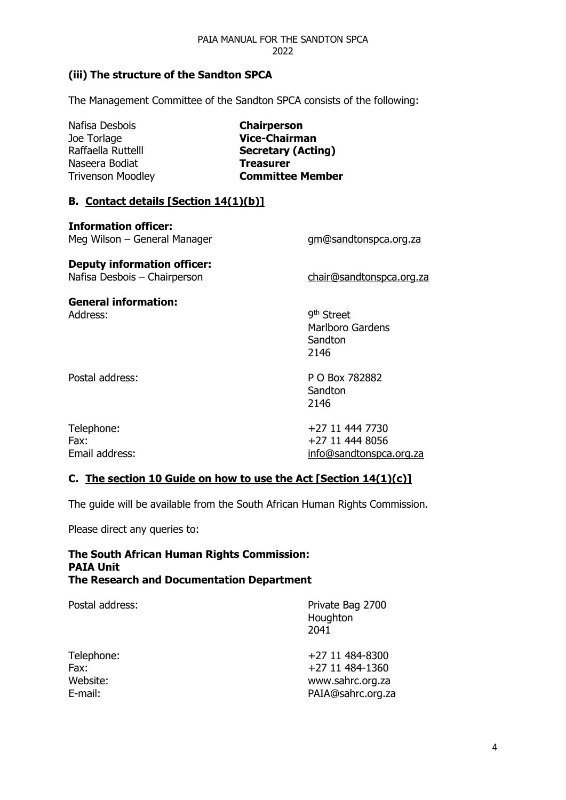## **(iii) The structure of the Sandton SPCA**

The Management Committee of the Sandton SPCA consists of the following:

| Nafisa Desbois<br>Joe Torlage<br>Raffaella Ruttelll<br>Naseera Bodiat<br><b>Trivenson Moodley</b> | <b>Chairperson</b><br><b>Vice-Chairman</b><br><b>Secretary (Acting)</b><br>Treasurer<br><b>Committee Member</b> |
|---------------------------------------------------------------------------------------------------|-----------------------------------------------------------------------------------------------------------------|
| <b>B.</b> Contact details [Section 14(1)(b)]                                                      |                                                                                                                 |
| <b>Information officer:</b><br>Meg Wilson – General Manager                                       | gm@sandtonspca.org.za                                                                                           |
| <b>Deputy information officer:</b><br>Nafisa Desbois - Chairperson                                | chair@sandtonspca.org.za                                                                                        |
| <b>General information:</b><br>Address:                                                           | 9 <sup>th</sup> Street<br><b>Marlboro Gardens</b><br>Sandton<br>2146                                            |
| Postal address:                                                                                   | P O Box 782882<br>Sandton<br>2146                                                                               |

| Telephone:     | +27 11 444 7730         |
|----------------|-------------------------|
| Fax:           | +27 11 444 8056         |
| Email address: | info@sandtonspca.org.za |

### **C. The section 10 Guide on how to use the Act [Section 14(1)(c)]**

The guide will be available from the South African Human Rights Commission.

Please direct any queries to:

#### **The South African Human Rights Commission: PAIA Unit The Research and Documentation Department**

| Postal address: | Private Bag 2700<br>Houghton<br>2041 |
|-----------------|--------------------------------------|
| Telephone:      | +27 11 484-8300                      |
| Fax:            | +27 11 484-1360                      |
| Website:        | www.sahrc.org.za                     |
| E-mail:         | PAIA@sahrc.org.za                    |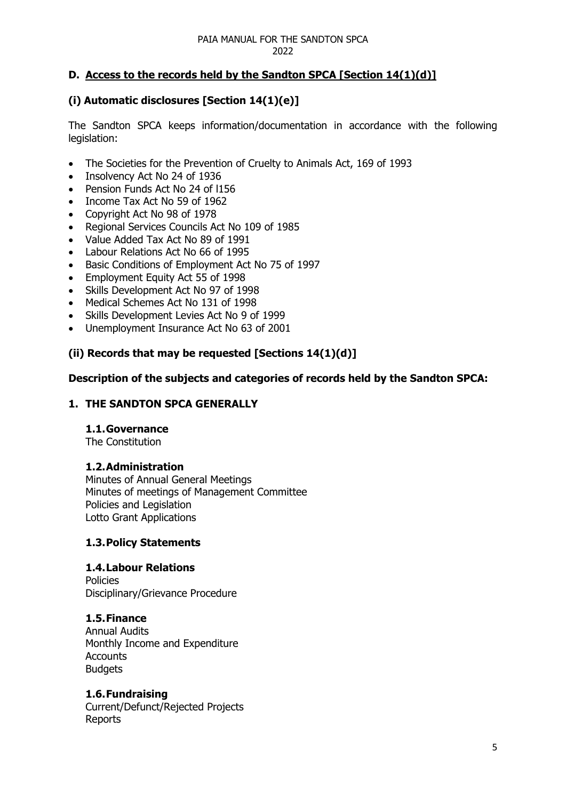## **D. Access to the records held by the Sandton SPCA [Section 14(1)(d)]**

## **(i) Automatic disclosures [Section 14(1)(e)]**

The Sandton SPCA keeps information/documentation in accordance with the following legislation:

- The Societies for the Prevention of Cruelty to Animals Act, 169 of 1993
- Insolvency Act No 24 of 1936
- Pension Funds Act No 24 of l156
- Income Tax Act No 59 of 1962
- Copyright Act No 98 of 1978
- Regional Services Councils Act No 109 of 1985
- Value Added Tax Act No 89 of 1991
- Labour Relations Act No 66 of 1995
- Basic Conditions of Employment Act No 75 of 1997
- Employment Equity Act 55 of 1998
- Skills Development Act No 97 of 1998
- Medical Schemes Act No 131 of 1998
- Skills Development Levies Act No 9 of 1999
- Unemployment Insurance Act No 63 of 2001

## **(ii) Records that may be requested [Sections 14(1)(d)]**

#### **Description of the subjects and categories of records held by the Sandton SPCA:**

#### **1. THE SANDTON SPCA GENERALLY**

#### **1.1.Governance**

The Constitution

#### **1.2.Administration**

Minutes of Annual General Meetings Minutes of meetings of Management Committee Policies and Legislation Lotto Grant Applications

#### **1.3.Policy Statements**

## **1.4.Labour Relations**

Policies Disciplinary/Grievance Procedure

## **1.5.Finance**

Annual Audits Monthly Income and Expenditure **Accounts Budgets** 

#### **1.6.Fundraising**

Current/Defunct/Rejected Projects Reports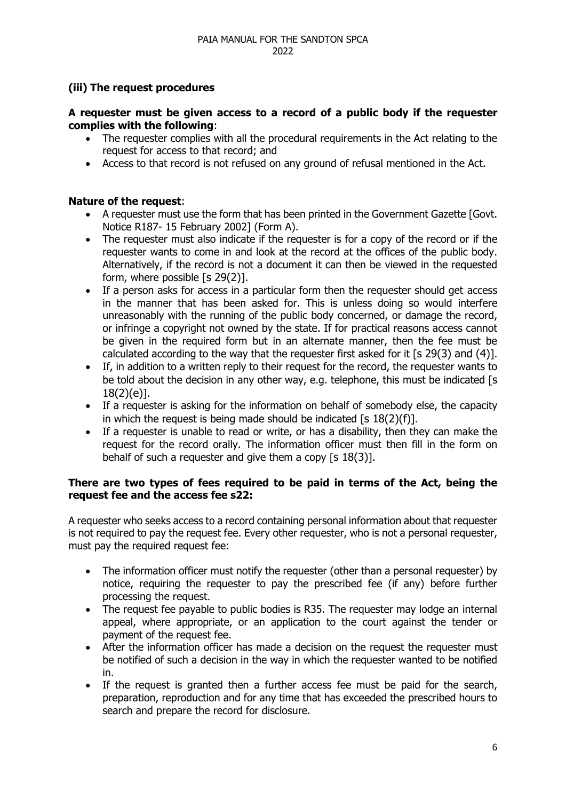## **(iii) The request procedures**

### **A requester must be given access to a record of a public body if the requester complies with the following**:

- The requester complies with all the procedural requirements in the Act relating to the request for access to that record; and
- Access to that record is not refused on any ground of refusal mentioned in the Act.

### **Nature of the request**:

- A requester must use the form that has been printed in the Government Gazette [Govt. Notice R187- 15 February 2002] (Form A).
- The requester must also indicate if the requester is for a copy of the record or if the requester wants to come in and look at the record at the offices of the public body. Alternatively, if the record is not a document it can then be viewed in the requested form, where possible [s 29(2)].
- If a person asks for access in a particular form then the requester should get access in the manner that has been asked for. This is unless doing so would interfere unreasonably with the running of the public body concerned, or damage the record, or infringe a copyright not owned by the state. If for practical reasons access cannot be given in the required form but in an alternate manner, then the fee must be calculated according to the way that the requester first asked for it [s 29(3) and (4)].
- If, in addition to a written reply to their request for the record, the requester wants to be told about the decision in any other way, e.g. telephone, this must be indicated [s 18(2)(e)].
- If a requester is asking for the information on behalf of somebody else, the capacity in which the request is being made should be indicated  $[s 18(2)(f)].$
- If a requester is unable to read or write, or has a disability, then they can make the request for the record orally. The information officer must then fill in the form on behalf of such a requester and give them a copy [s 18(3)].

### **There are two types of fees required to be paid in terms of the Act, being the request fee and the access fee s22:**

A requester who seeks access to a record containing personal information about that requester is not required to pay the request fee. Every other requester, who is not a personal requester, must pay the required request fee:

- The information officer must notify the requester (other than a personal requester) by notice, requiring the requester to pay the prescribed fee (if any) before further processing the request.
- The request fee payable to public bodies is R35. The requester may lodge an internal appeal, where appropriate, or an application to the court against the tender or payment of the request fee.
- After the information officer has made a decision on the request the requester must be notified of such a decision in the way in which the requester wanted to be notified in.
- If the request is granted then a further access fee must be paid for the search, preparation, reproduction and for any time that has exceeded the prescribed hours to search and prepare the record for disclosure.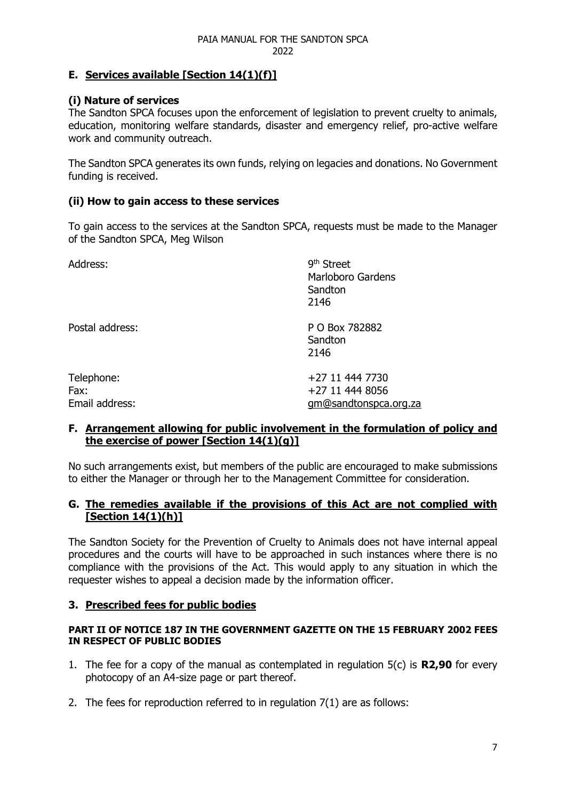## **E. Services available [Section 14(1)(f)]**

## **(i) Nature of services**

The Sandton SPCA focuses upon the enforcement of legislation to prevent cruelty to animals, education, monitoring welfare standards, disaster and emergency relief, pro-active welfare work and community outreach.

The Sandton SPCA generates its own funds, relying on legacies and donations. No Government funding is received.

### **(ii) How to gain access to these services**

To gain access to the services at the Sandton SPCA, requests must be made to the Manager of the Sandton SPCA, Meg Wilson

| Address:                             | 9 <sup>th</sup> Street<br>Marloboro Gardens<br>Sandton<br>2146 |
|--------------------------------------|----------------------------------------------------------------|
| Postal address:                      | P O Box 782882<br>Sandton<br>2146                              |
| Telephone:<br>Fax:<br>Email address: | +27 11 444 7730<br>+27 11 444 8056<br>gm@sandtonspca.org.za    |

#### **F. Arrangement allowing for public involvement in the formulation of policy and the exercise of power [Section 14(1)(g)]**

No such arrangements exist, but members of the public are encouraged to make submissions to either the Manager or through her to the Management Committee for consideration.

### **G. The remedies available if the provisions of this Act are not complied with [Section 14(1)(h)]**

The Sandton Society for the Prevention of Cruelty to Animals does not have internal appeal procedures and the courts will have to be approached in such instances where there is no compliance with the provisions of the Act. This would apply to any situation in which the requester wishes to appeal a decision made by the information officer.

## **3. Prescribed fees for public bodies**

#### **PART II OF NOTICE 187 IN THE GOVERNMENT GAZETTE ON THE 15 FEBRUARY 2002 FEES IN RESPECT OF PUBLIC BODIES**

- 1. The fee for a copy of the manual as contemplated in regulation 5(c) is **R2,90** for every photocopy of an A4-size page or part thereof.
- 2. The fees for reproduction referred to in regulation 7(1) are as follows: